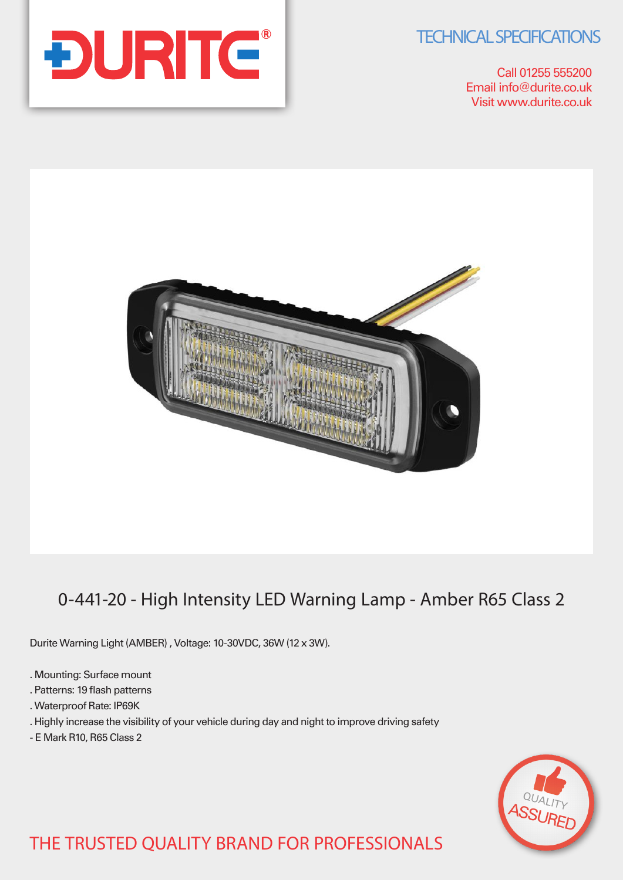**TECHNICAL SPECIFICATIONS** 

Call 01255 555200 Email info@durite.co.uk Visit www.durite.co.uk





# 0-441-20 - High Intensity LED Warning Lamp - Amber R65 Class 2

Durite Warning Light (AMBER) , Voltage: 10-30VDC, 36W (12 x 3W).

- . Mounting: Surface mount
- . Patterns: 19 flash patterns
- . Waterproof Rate: IP69K
- . Highly increase the visibility of your vehicle during day and night to improve driving safety
- E Mark R10, R65 Class 2



# THE TRUSTED QUALITY BRAND FOR PROFESSIONALS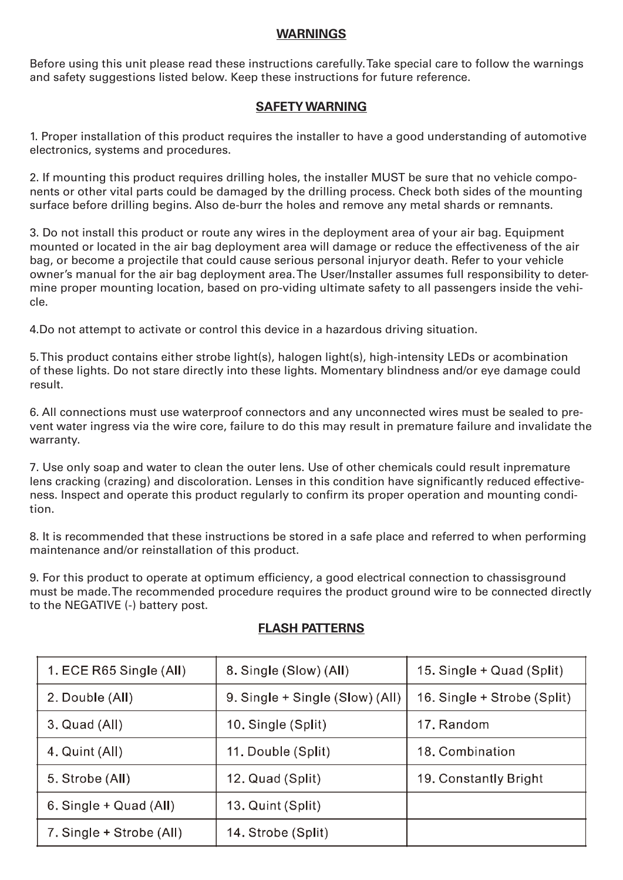#### **WARNINGS**

Before using this unit please read these instructions carefully. Take special care to follow the warnings and safety suggestions listed below. Keep these instructions for future reference.

#### **SAFETY WARNING**

1. Proper installation of this product requires the installer to have a good understanding of automotive electronics, systems and procedures.

2. If mounting this product requires drilling holes, the installer MUST be sure that no vehicle components or other vital parts could be damaged by the drilling process. Check both sides of the mounting surface before drilling begins. Also de-burr the holes and remove any metal shards or remnants.

3. Do not install this product or route any wires in the deployment area of your air bag. Equipment mounted or located in the air bag deployment area will damage or reduce the effectiveness of the air bag, or become a projectile that could cause serious personal injuryor death. Refer to your vehicle owner's manual for the air bag deployment area. The User/Installer assumes full responsibility to determine proper mounting location, based on pro-viding ultimate safety to all passengers inside the vehicle.

4.Do not attempt to activate or control this device in a hazardous driving situation.

5. This product contains either strobe light(s), halogen light(s), high-intensity LEDs or acombination of these lights. Do not stare directly into these lights. Momentary blindness and/or eye damage could result.

6. All connections must use waterproof connectors and any unconnected wires must be sealed to prevent water ingress via the wire core, failure to do this may result in premature failure and invalidate the warranty.

7. Use only soap and water to clean the outer lens. Use of other chemicals could result inpremature lens cracking (crazing) and discoloration. Lenses in this condition have significantly reduced effectiveness. Inspect and operate this product regularly to confirm its proper operation and mounting condition.

8. It is recommended that these instructions be stored in a safe place and referred to when performing maintenance and/or reinstallation of this product.

9. For this product to operate at optimum efficiency, a good electrical connection to chassisground must be made. The recommended procedure requires the product ground wire to be connected directly to the NEGATIVE (-) battery post.

| 1. ECE R65 Single (All)  | 8. Single (Slow) (All)          | 15. Single + Quad (Split)   |
|--------------------------|---------------------------------|-----------------------------|
| 2. Double (All)          | 9. Single + Single (Slow) (All) | 16. Single + Strobe (Split) |
| 3. Quad (All)            | 10. Single (Split)              | 17. Random                  |
| 4. Quint (All)           | 11. Double (Split)              | 18. Combination             |
| 5. Strobe (All)          | 12. Quad (Split)                | 19. Constantly Bright       |
| 6. Single $+$ Quad (All) | 13. Quint (Split)               |                             |
| 7. Single + Strobe (All) | 14. Strobe (Split)              |                             |

#### **FLASH PATTERNS**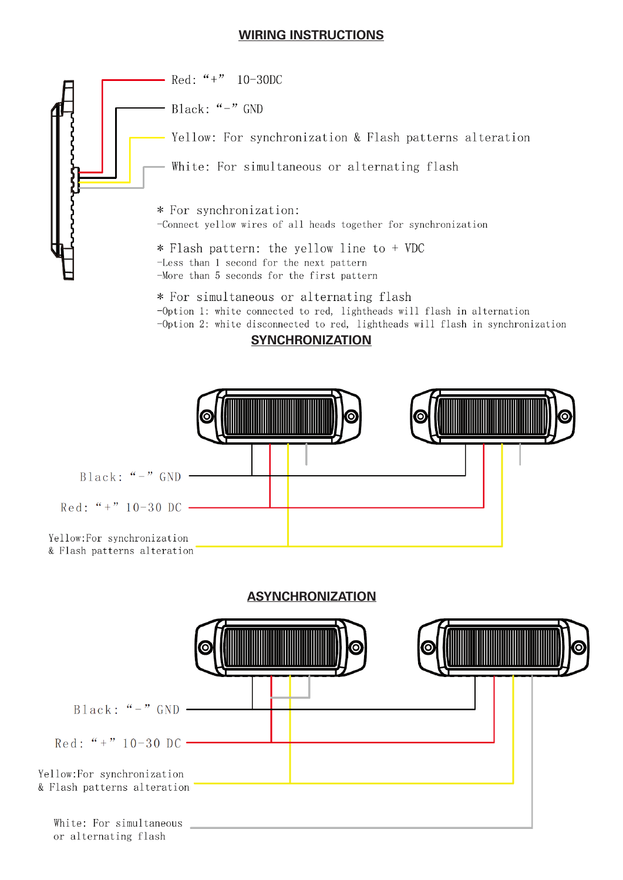#### **WIRING INSTRUCTIONS**